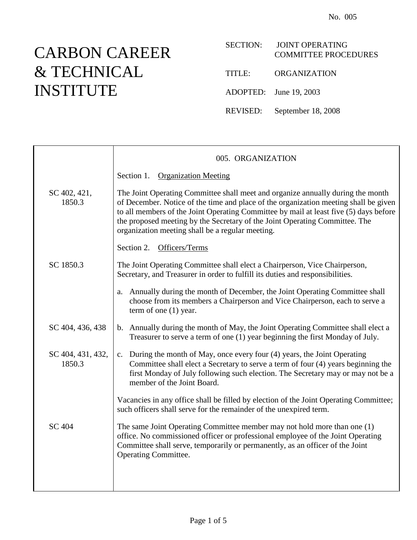## CARBON CAREER & TECHNICAL INSTITUTE

| <b>SECTION:</b> | <b>JOINT OPERATING</b><br><b>COMMITTEE PROCEDURES</b> |
|-----------------|-------------------------------------------------------|
| TITLE:          | ORGANIZATION                                          |
|                 | ADOPTED: June 19, 2003                                |
|                 | REVISED: September 18, 2008                           |

|                             | 005. ORGANIZATION                                                                                                                                                                                                                                                                                                                                                                                   |
|-----------------------------|-----------------------------------------------------------------------------------------------------------------------------------------------------------------------------------------------------------------------------------------------------------------------------------------------------------------------------------------------------------------------------------------------------|
|                             | Section 1.<br><b>Organization Meeting</b>                                                                                                                                                                                                                                                                                                                                                           |
| SC 402, 421,<br>1850.3      | The Joint Operating Committee shall meet and organize annually during the month<br>of December. Notice of the time and place of the organization meeting shall be given<br>to all members of the Joint Operating Committee by mail at least five (5) days before<br>the proposed meeting by the Secretary of the Joint Operating Committee. The<br>organization meeting shall be a regular meeting. |
|                             | Officers/Terms<br>Section 2.                                                                                                                                                                                                                                                                                                                                                                        |
| SC 1850.3                   | The Joint Operating Committee shall elect a Chairperson, Vice Chairperson,<br>Secretary, and Treasurer in order to fulfill its duties and responsibilities.                                                                                                                                                                                                                                         |
|                             | Annually during the month of December, the Joint Operating Committee shall<br>a.<br>choose from its members a Chairperson and Vice Chairperson, each to serve a<br>term of one $(1)$ year.                                                                                                                                                                                                          |
| SC 404, 436, 438            | b. Annually during the month of May, the Joint Operating Committee shall elect a<br>Treasurer to serve a term of one (1) year beginning the first Monday of July.                                                                                                                                                                                                                                   |
| SC 404, 431, 432,<br>1850.3 | c. During the month of May, once every four (4) years, the Joint Operating<br>Committee shall elect a Secretary to serve a term of four (4) years beginning the<br>first Monday of July following such election. The Secretary may or may not be a<br>member of the Joint Board.                                                                                                                    |
|                             | Vacancies in any office shall be filled by election of the Joint Operating Committee;<br>such officers shall serve for the remainder of the unexpired term.                                                                                                                                                                                                                                         |
| <b>SC 404</b>               | The same Joint Operating Committee member may not hold more than one (1)<br>office. No commissioned officer or professional employee of the Joint Operating<br>Committee shall serve, temporarily or permanently, as an officer of the Joint<br><b>Operating Committee.</b>                                                                                                                         |
|                             |                                                                                                                                                                                                                                                                                                                                                                                                     |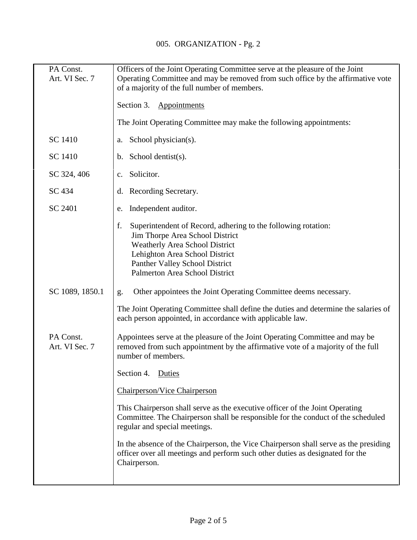| PA Const.<br>Art. VI Sec. 7 | Officers of the Joint Operating Committee serve at the pleasure of the Joint<br>Operating Committee and may be removed from such office by the affirmative vote<br>of a majority of the full number of members.                                       |
|-----------------------------|-------------------------------------------------------------------------------------------------------------------------------------------------------------------------------------------------------------------------------------------------------|
|                             | Section 3.<br>Appointments                                                                                                                                                                                                                            |
|                             | The Joint Operating Committee may make the following appointments:                                                                                                                                                                                    |
| SC 1410                     | School physician(s).<br>a.                                                                                                                                                                                                                            |
| SC 1410                     | b. School dentist $(s)$ .                                                                                                                                                                                                                             |
| SC 324, 406                 | Solicitor.<br>$c_{\cdot}$                                                                                                                                                                                                                             |
| SC 434                      | d. Recording Secretary.                                                                                                                                                                                                                               |
| SC 2401                     | Independent auditor.<br>e.                                                                                                                                                                                                                            |
|                             | f.<br>Superintendent of Record, adhering to the following rotation:<br>Jim Thorpe Area School District<br><b>Weatherly Area School District</b><br>Lehighton Area School District<br>Panther Valley School District<br>Palmerton Area School District |
| SC 1089, 1850.1             | Other appointees the Joint Operating Committee deems necessary.<br>g.                                                                                                                                                                                 |
|                             | The Joint Operating Committee shall define the duties and determine the salaries of<br>each person appointed, in accordance with applicable law.                                                                                                      |
| PA Const.<br>Art. VI Sec. 7 | Appointees serve at the pleasure of the Joint Operating Committee and may be<br>removed from such appointment by the affirmative vote of a majority of the full<br>number of members.                                                                 |
|                             | Section 4.<br>Duties                                                                                                                                                                                                                                  |
|                             | <b>Chairperson/Vice Chairperson</b>                                                                                                                                                                                                                   |
|                             | This Chairperson shall serve as the executive officer of the Joint Operating<br>Committee. The Chairperson shall be responsible for the conduct of the scheduled<br>regular and special meetings.                                                     |
|                             | In the absence of the Chairperson, the Vice Chairperson shall serve as the presiding<br>officer over all meetings and perform such other duties as designated for the<br>Chairperson.                                                                 |
|                             |                                                                                                                                                                                                                                                       |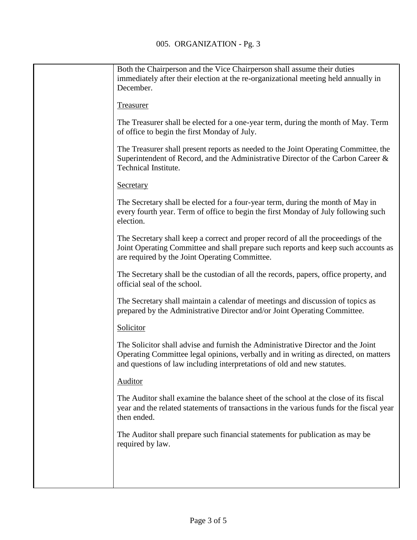| Both the Chairperson and the Vice Chairperson shall assume their duties<br>immediately after their election at the re-organizational meeting held annually in<br>December.                                                                         |
|----------------------------------------------------------------------------------------------------------------------------------------------------------------------------------------------------------------------------------------------------|
| Treasurer                                                                                                                                                                                                                                          |
| The Treasurer shall be elected for a one-year term, during the month of May. Term<br>of office to begin the first Monday of July.                                                                                                                  |
| The Treasurer shall present reports as needed to the Joint Operating Committee, the<br>Superintendent of Record, and the Administrative Director of the Carbon Career &<br>Technical Institute.                                                    |
| Secretary                                                                                                                                                                                                                                          |
| The Secretary shall be elected for a four-year term, during the month of May in<br>every fourth year. Term of office to begin the first Monday of July following such<br>election.                                                                 |
| The Secretary shall keep a correct and proper record of all the proceedings of the<br>Joint Operating Committee and shall prepare such reports and keep such accounts as<br>are required by the Joint Operating Committee.                         |
| The Secretary shall be the custodian of all the records, papers, office property, and<br>official seal of the school.                                                                                                                              |
| The Secretary shall maintain a calendar of meetings and discussion of topics as<br>prepared by the Administrative Director and/or Joint Operating Committee.                                                                                       |
| Solicitor                                                                                                                                                                                                                                          |
| The Solicitor shall advise and furnish the Administrative Director and the Joint<br>Operating Committee legal opinions, verbally and in writing as directed, on matters<br>and questions of law including interpretations of old and new statutes. |
| Auditor                                                                                                                                                                                                                                            |
| The Auditor shall examine the balance sheet of the school at the close of its fiscal<br>year and the related statements of transactions in the various funds for the fiscal year<br>then ended.                                                    |
| The Auditor shall prepare such financial statements for publication as may be<br>required by law.                                                                                                                                                  |
|                                                                                                                                                                                                                                                    |
|                                                                                                                                                                                                                                                    |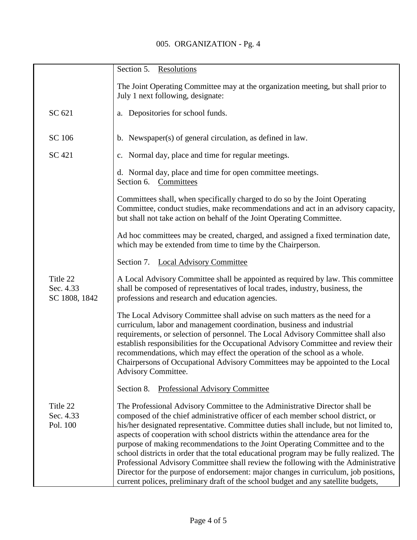## 005. ORGANIZATION - Pg. 4

|                                        | Section 5.<br>Resolutions                                                                                                                                                                                                                                                                                                                                                                                                                                                                                                                                                                                                                                                                                                                                                                   |
|----------------------------------------|---------------------------------------------------------------------------------------------------------------------------------------------------------------------------------------------------------------------------------------------------------------------------------------------------------------------------------------------------------------------------------------------------------------------------------------------------------------------------------------------------------------------------------------------------------------------------------------------------------------------------------------------------------------------------------------------------------------------------------------------------------------------------------------------|
|                                        | The Joint Operating Committee may at the organization meeting, but shall prior to                                                                                                                                                                                                                                                                                                                                                                                                                                                                                                                                                                                                                                                                                                           |
|                                        | July 1 next following, designate:                                                                                                                                                                                                                                                                                                                                                                                                                                                                                                                                                                                                                                                                                                                                                           |
| SC 621                                 | a. Depositories for school funds.                                                                                                                                                                                                                                                                                                                                                                                                                                                                                                                                                                                                                                                                                                                                                           |
| SC 106                                 | b. Newspaper(s) of general circulation, as defined in law.                                                                                                                                                                                                                                                                                                                                                                                                                                                                                                                                                                                                                                                                                                                                  |
| SC 421                                 | c. Normal day, place and time for regular meetings.                                                                                                                                                                                                                                                                                                                                                                                                                                                                                                                                                                                                                                                                                                                                         |
|                                        | d. Normal day, place and time for open committee meetings.<br>Section 6. Committees                                                                                                                                                                                                                                                                                                                                                                                                                                                                                                                                                                                                                                                                                                         |
|                                        | Committees shall, when specifically charged to do so by the Joint Operating<br>Committee, conduct studies, make recommendations and act in an advisory capacity,<br>but shall not take action on behalf of the Joint Operating Committee.                                                                                                                                                                                                                                                                                                                                                                                                                                                                                                                                                   |
|                                        | Ad hoc committees may be created, charged, and assigned a fixed termination date,<br>which may be extended from time to time by the Chairperson.                                                                                                                                                                                                                                                                                                                                                                                                                                                                                                                                                                                                                                            |
|                                        | Section 7. Local Advisory Committee                                                                                                                                                                                                                                                                                                                                                                                                                                                                                                                                                                                                                                                                                                                                                         |
| Title 22<br>Sec. 4.33<br>SC 1808, 1842 | A Local Advisory Committee shall be appointed as required by law. This committee<br>shall be composed of representatives of local trades, industry, business, the<br>professions and research and education agencies.                                                                                                                                                                                                                                                                                                                                                                                                                                                                                                                                                                       |
|                                        | The Local Advisory Committee shall advise on such matters as the need for a<br>curriculum, labor and management coordination, business and industrial<br>requirements, or selection of personnel. The Local Advisory Committee shall also<br>establish responsibilities for the Occupational Advisory Committee and review their<br>recommendations, which may effect the operation of the school as a whole.<br>Chairpersons of Occupational Advisory Committees may be appointed to the Local<br>Advisory Committee.                                                                                                                                                                                                                                                                      |
|                                        | Section 8.<br><b>Professional Advisory Committee</b>                                                                                                                                                                                                                                                                                                                                                                                                                                                                                                                                                                                                                                                                                                                                        |
| Title 22<br>Sec. 4.33<br>Pol. 100      | The Professional Advisory Committee to the Administrative Director shall be<br>composed of the chief administrative officer of each member school district, or<br>his/her designated representative. Committee duties shall include, but not limited to,<br>aspects of cooperation with school districts within the attendance area for the<br>purpose of making recommendations to the Joint Operating Committee and to the<br>school districts in order that the total educational program may be fully realized. The<br>Professional Advisory Committee shall review the following with the Administrative<br>Director for the purpose of endorsement: major changes in curriculum, job positions,<br>current polices, preliminary draft of the school budget and any satellite budgets, |